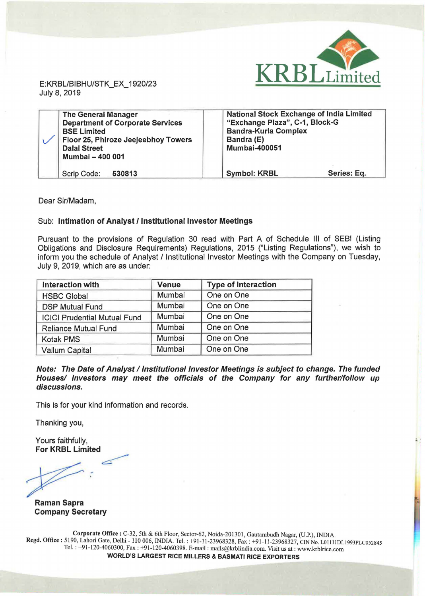

E:KRBL/BIBHU/STK\_EX\_ 1920/23 July 8, 2019

| <b>The General Manager</b><br><b>Department of Corporate Services</b><br><b>BSE Limited</b><br>Floor 25, Phiroze Jeejeebhoy Towers<br><b>Dalal Street</b><br>Mumbai - 400 001 | <b>National Stock Exchange of India Limited</b><br>"Exchange Plaza", C-1, Block-G<br><b>Bandra-Kurla Complex</b><br>Bandra (E)<br><b>Mumbai-400051</b> |
|-------------------------------------------------------------------------------------------------------------------------------------------------------------------------------|--------------------------------------------------------------------------------------------------------------------------------------------------------|
| Scrip Code:<br>530813                                                                                                                                                         | Series: Eq.<br><b>Symbol: KRBL</b>                                                                                                                     |

Dear Sir/Madam,

## Sub: Intimation of Analyst/ Institutional Investor Meetings

Pursuant to the provisions of Regulation 30 read with Part A of Schedule Ill of SEBI (Listing Obligations and Disclosure Requirements) Regulations, 2015 ("Listing Regulations"), we wish to inform you the schedule of Analyst / Institutional Investor Meetings with the Company on Tuesday, July 9, 2019, which are as under:

| Interaction with                    | <b>Venue</b> | <b>Type of Interaction</b> |
|-------------------------------------|--------------|----------------------------|
| <b>HSBC Global</b>                  | Mumbai       | One on One                 |
| <b>DSP Mutual Fund</b>              | Mumbai       | One on One                 |
| <b>ICICI Prudential Mutual Fund</b> | Mumbai       | One on One                 |
| <b>Reliance Mutual Fund</b>         | Mumbai       | One on One                 |
| <b>Kotak PMS</b>                    | Mumbai       | One on One                 |
| Vallum Capital                      | Mumbai       | One on One                 |

Note: The Date of Analyst / Institutional Investor Meetings is subject to change. The funded Houses/ Investors may meet the officials of the Company for any further/follow up discussions.

This is for your kind information and records.

Thanking you,

Yours faithfully, For KRBL Limited

~

Raman Sapra Company Secretary

Corporate Office: C-32, 5th & 6th Floor, Sector-62, Noida-201301, Gautambudh Nagar, (U.P.), INDIA. Regd. Office: 5190, Lahori Gate, Delhi - 110 006, INDIA. Tel.: +91-11-23968328, Fax: +91-11-23968327, CINNo. L01111DL1993PLC052845 Tel. : +91-120-4060300, Fax : +91-1 20-4060398. E-mail : mails@krblindia.com. Visit us at : www.krblrice.com WORLD'S LARGEST RICE MILLERS & BASMATI RICE EXPORTERS